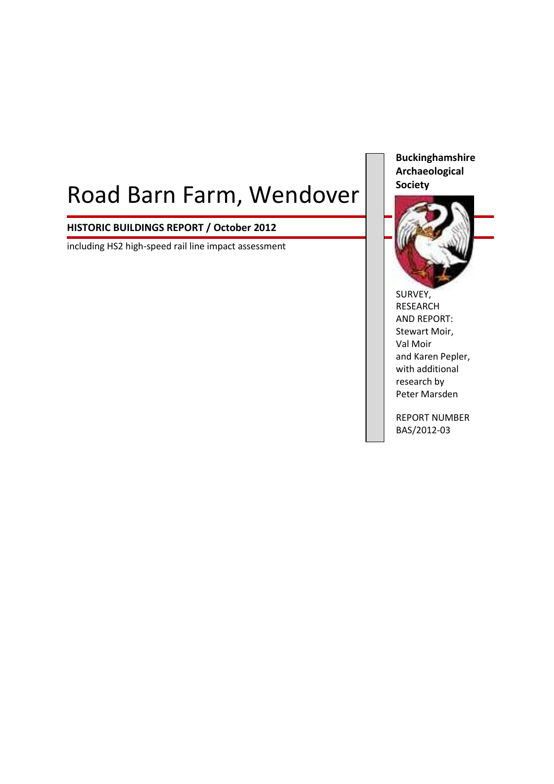# Road Barn Farm, Wendover

# **HISTORIC BUILDINGS REPORT / October 2012**

including HS2 high-speed rail line impact assessment

**Buckinghamshire Archaeological Society**



SURVEY, RESEARCH AND REPORT: Stewart Moir, Val Moir and Karen Pepler, with additional research by Peter Marsden

REPORT NUMBER BAS/2012-03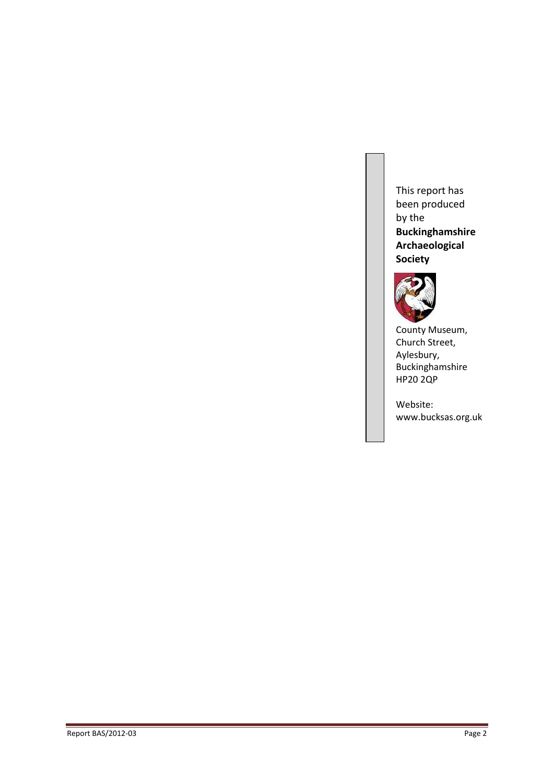This report has been produced by the **Buckinghamshire Archaeological Society**



County Museum, Church Street, Aylesbury, Buckinghamshire HP20 2QP

Website: www.bucksas.org.uk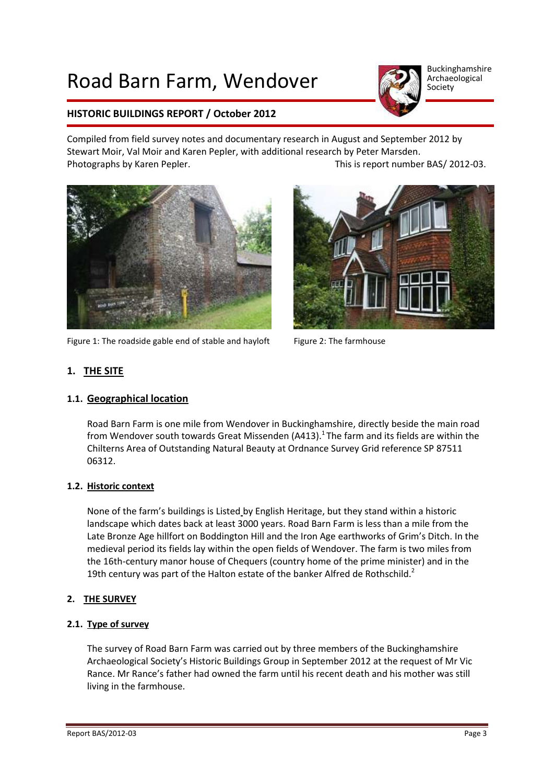# Road Barn Farm, Wendover



Buckinghamshire Archaeological Society

# **HISTORIC BUILDINGS REPORT / October 2012**

Compiled from field survey notes and documentary research in August and September 2012 by Stewart Moir, Val Moir and Karen Pepler, with additional research by Peter Marsden. Photographs by Karen Pepler. This is report number BAS/ 2012-03.



Figure 1: The roadside gable end of stable and hayloft  $\qquad$  Figure 2: The farmhouse



# **1. THE SITE**

## **1.1. Geographical location**

Road Barn Farm is one mile from Wendover in Buckinghamshire, directly beside the main road from Wendover south towards Great Missenden (A413).<sup>1</sup> The farm and its fields are within the Chilterns Area of Outstanding Natural Beauty at Ordnance Survey Grid reference SP 87511 06312.

## **1.2. Historic context**

None of the farm's buildings is Listed by English Heritage, but they stand within a historic landscape which dates back at least 3000 years. Road Barn Farm is less than a mile from the Late Bronze Age hillfort on Boddington Hill and the Iron Age earthworks of Grim's Ditch. In the medieval period its fields lay within the open fields of Wendover. The farm is two miles from the 16th-century manor house of Chequers (country home of the prime minister) and in the 19th century was part of the Halton estate of the banker Alfred de Rothschild.<sup>2</sup>

## **2. THE SURVEY**

## **2.1. Type of survey**

The survey of Road Barn Farm was carried out by three members of the Buckinghamshire Archaeological Society's Historic Buildings Group in September 2012 at the request of Mr Vic Rance. Mr Rance's father had owned the farm until his recent death and his mother was still living in the farmhouse.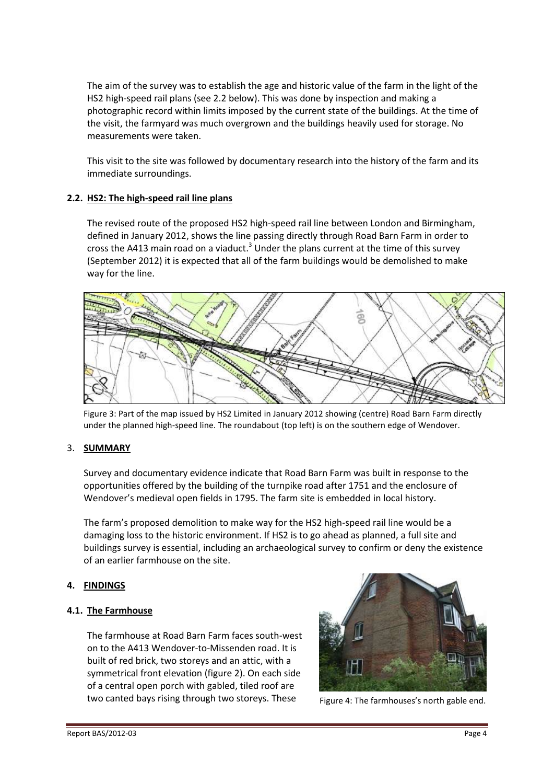The aim of the survey was to establish the age and historic value of the farm in the light of the HS2 high-speed rail plans (see 2.2 below). This was done by inspection and making a photographic record within limits imposed by the current state of the buildings. At the time of the visit, the farmyard was much overgrown and the buildings heavily used for storage. No measurements were taken.

This visit to the site was followed by documentary research into the history of the farm and its immediate surroundings.

## **2.2. HS2: The high-speed rail line plans**

The revised route of the proposed HS2 high-speed rail line between London and Birmingham, defined in January 2012, shows the line passing directly through Road Barn Farm in order to cross the A413 main road on a viaduct.<sup>3</sup> Under the plans current at the time of this survey (September 2012) it is expected that all of the farm buildings would be demolished to make way for the line.



Figure 3: Part of the map issued by HS2 Limited in January 2012 showing (centre) Road Barn Farm directly under the planned high-speed line. The roundabout (top left) is on the southern edge of Wendover.

## 3. **SUMMARY**

Survey and documentary evidence indicate that Road Barn Farm was built in response to the opportunities offered by the building of the turnpike road after 1751 and the enclosure of Wendover's medieval open fields in 1795. The farm site is embedded in local history.

The farm's proposed demolition to make way for the HS2 high-speed rail line would be a damaging loss to the historic environment. If HS2 is to go ahead as planned, a full site and buildings survey is essential, including an archaeological survey to confirm or deny the existence of an earlier farmhouse on the site.

## **4. FINDINGS**

## **4.1. The Farmhouse**

The farmhouse at Road Barn Farm faces south-west on to the A413 Wendover-to-Missenden road. It is built of red brick, two storeys and an attic, with a symmetrical front elevation (figure 2). On each side of a central open porch with gabled, tiled roof are two canted bays rising through two storeys. These Figure 4: The farmhouses's north gable end.

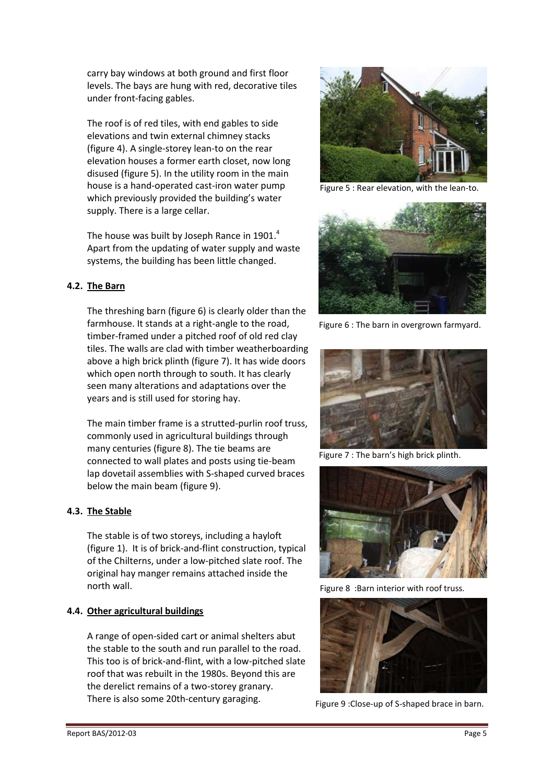carry bay windows at both ground and first floor levels. The bays are hung with red, decorative tiles under front-facing gables.

The roof is of red tiles, with end gables to side elevations and twin external chimney stacks (figure 4). A single-storey lean-to on the rear elevation houses a former earth closet, now long disused (figure 5). In the utility room in the main house is a hand-operated cast-iron water pump which previously provided the building's water supply. There is a large cellar.

The house was built by Joseph Rance in 1901. $<sup>4</sup>$ </sup> Apart from the updating of water supply and waste systems, the building has been little changed.

## **4.2. The Barn**

The threshing barn (figure 6) is clearly older than the farmhouse. It stands at a right-angle to the road, timber-framed under a pitched roof of old red clay tiles. The walls are clad with timber weatherboarding above a high brick plinth (figure 7). It has wide doors which open north through to south. It has clearly seen many alterations and adaptations over the years and is still used for storing hay.

The main timber frame is a strutted-purlin roof truss, commonly used in agricultural buildings through many centuries (figure 8). The tie beams are connected to wall plates and posts using tie-beam lap dovetail assemblies with S-shaped curved braces below the main beam (figure 9).

# **4.3. The Stable**

The stable is of two storeys, including a hayloft (figure 1). It is of brick-and-flint construction, typical of the Chilterns, under a low-pitched slate roof. The original hay manger remains attached inside the north wall.

## **4.4. Other agricultural buildings**

A range of open-sided cart or animal shelters abut the stable to the south and run parallel to the road. This too is of brick-and-flint, with a low-pitched slate roof that was rebuilt in the 1980s. Beyond this are the derelict remains of a two-storey granary. There is also some 20th-century garaging.



Figure 5 : Rear elevation, with the lean-to.



Figure 6 : The barn in overgrown farmyard.



Figure 7 : The barn's high brick plinth.



Figure 8 :Barn interior with roof truss.



Figure 9 :Close-up of S-shaped brace in barn.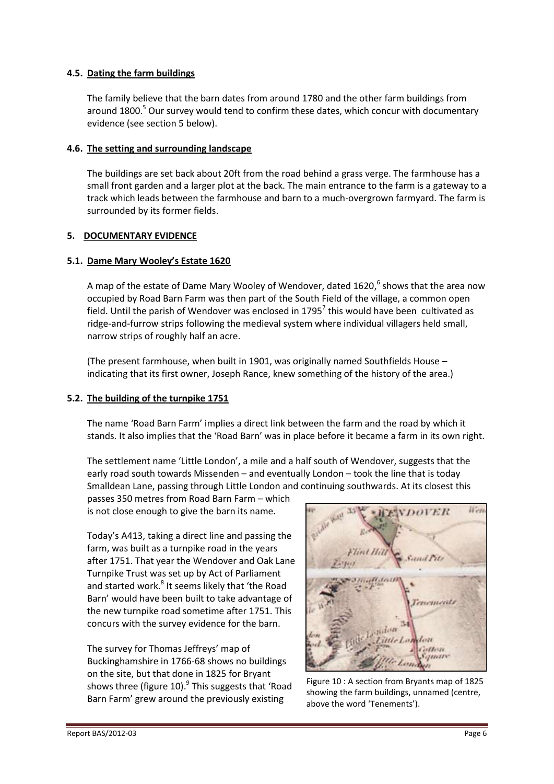#### **4.5. Dating the farm buildings**

The family believe that the barn dates from around 1780 and the other farm buildings from around 1800.<sup>5</sup> Our survey would tend to confirm these dates, which concur with documentary evidence (see section 5 below).

#### **4.6. The setting and surrounding landscape**

The buildings are set back about 20ft from the road behind a grass verge. The farmhouse has a small front garden and a larger plot at the back. The main entrance to the farm is a gateway to a track which leads between the farmhouse and barn to a much-overgrown farmyard. The farm is surrounded by its former fields.

## **5. DOCUMENTARY EVIDENCE**

## **5.1. Dame Mary Wooley's Estate 1620**

A map of the estate of Dame Mary Wooley of Wendover, dated 1620,<sup>6</sup> shows that the area now occupied by Road Barn Farm was then part of the South Field of the village, a common open field. Until the parish of Wendover was enclosed in 1795<sup>7</sup> this would have been cultivated as ridge-and-furrow strips following the medieval system where individual villagers held small, narrow strips of roughly half an acre.

(The present farmhouse, when built in 1901, was originally named Southfields House – indicating that its first owner, Joseph Rance, knew something of the history of the area.)

## **5.2. The building of the turnpike 1751**

The name 'Road Barn Farm' implies a direct link between the farm and the road by which it stands. It also implies that the 'Road Barn' was in place before it became a farm in its own right.

The settlement name 'Little London', a mile and a half south of Wendover, suggests that the early road south towards Missenden – and eventually London – took the line that is today Smalldean Lane, passing through Little London and continuing southwards. At its closest this

passes 350 metres from Road Barn Farm – which is not close enough to give the barn its name.

Today's A413, taking a direct line and passing the farm, was built as a turnpike road in the years after 1751. That year the Wendover and Oak Lane Turnpike Trust was set up by Act of Parliament and started work.<sup>8</sup> It seems likely that 'the Road Barn' would have been built to take advantage of the new turnpike road sometime after 1751. This concurs with the survey evidence for the barn.

The survey for Thomas Jeffreys' map of Buckinghamshire in 1766-68 shows no buildings on the site, but that done in 1825 for Bryant shows three (figure 10).<sup>9</sup> This suggests that 'Road Barn Farm' grew around the previously existing



Figure 10 : A section from Bryants map of 1825 showing the farm buildings, unnamed (centre, above the word 'Tenements').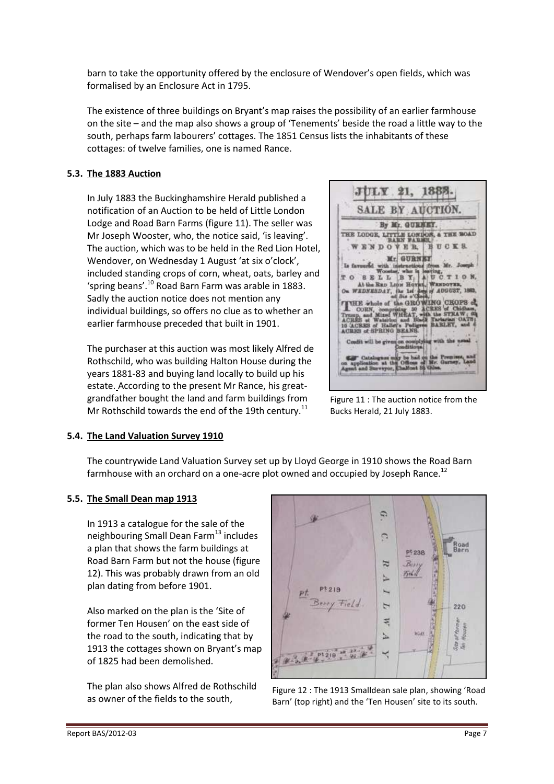barn to take the opportunity offered by the enclosure of Wendover's open fields, which was formalised by an Enclosure Act in 1795.

The existence of three buildings on Bryant's map raises the possibility of an earlier farmhouse on the site – and the map also shows a group of 'Tenements' beside the road a little way to the south, perhaps farm labourers' cottages. The 1851 Census lists the inhabitants of these cottages: of twelve families, one is named Rance.

## **5.3. The 1883 Auction**

In July 1883 the Buckinghamshire Herald published a notification of an Auction to be held of Little London Lodge and Road Barn Farms (figure 11). The seller was Mr Joseph Wooster, who, the notice said, 'is leaving'. The auction, which was to be held in the Red Lion Hotel, Wendover, on Wednesday 1 August 'at six o'clock', included standing crops of corn, wheat, oats, barley and 'spring beans'.<sup>10</sup> Road Barn Farm was arable in 1883. Sadly the auction notice does not mention any individual buildings, so offers no clue as to whether an earlier farmhouse preceded that built in 1901.

The purchaser at this auction was most likely Alfred de Rothschild, who was building Halton House during the years 1881-83 and buying land locally to build up his estate. According to the present Mr Rance, his greatgrandfather bought the land and farm buildings from Mr Rothschild towards the end of the 19th century.<sup>11</sup>



Figure 11 : The auction notice from the Bucks Herald, 21 July 1883.

#### **5.4. The Land Valuation Survey 1910**

The countrywide Land Valuation Survey set up by Lloyd George in 1910 shows the Road Barn farmhouse with an orchard on a one-acre plot owned and occupied by Joseph Rance.<sup>12</sup>

## **5.5. The Small Dean map 1913**

In 1913 a catalogue for the sale of the neighbouring Small Dean Farm<sup>13</sup> includes a plan that shows the farm buildings at Road Barn Farm but not the house (figure 12). This was probably drawn from an old plan dating from before 1901.

Also marked on the plan is the 'Site of former Ten Housen' on the east side of the road to the south, indicating that by 1913 the cottages shown on Bryant's map of 1825 had been demolished.

The plan also shows Alfred de Rothschild as owner of the fields to the south,



Figure 12 : The 1913 Smalldean sale plan, showing 'Road Barn' (top right) and the 'Ten Housen' site to its south.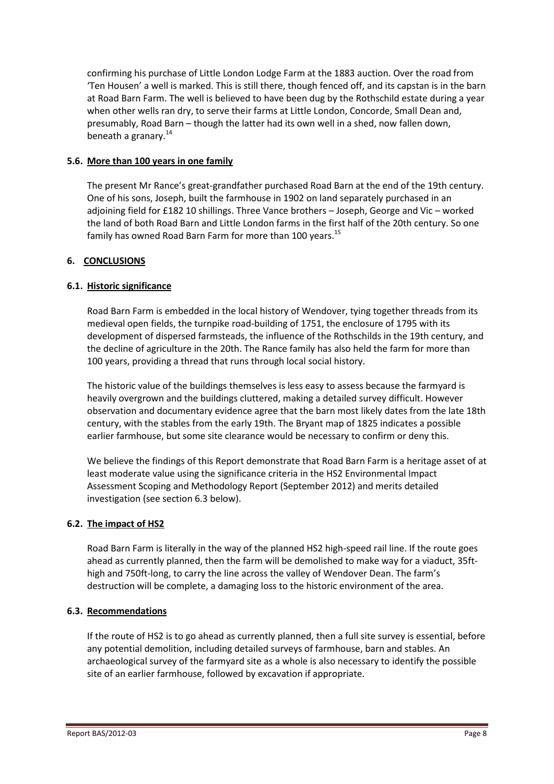confirming his purchase of Little London Lodge Farm at the 1883 auction. Over the road from 'Ten Housen' a well is marked. This is still there, though fenced off, and its capstan is in the barn at Road Barn Farm. The well is believed to have been dug by the Rothschild estate during a year when other wells ran dry, to serve their farms at Little London, Concorde, Small Dean and, presumably, Road Barn – though the latter had its own well in a shed, now fallen down, beneath a granary.<sup>14</sup>

## **5.6. More than 100 years in one family**

The present Mr Rance's great-grandfather purchased Road Barn at the end of the 19th century. One of his sons, Joseph, built the farmhouse in 1902 on land separately purchased in an adjoining field for £182 10 shillings. Three Vance brothers – Joseph, George and Vic – worked the land of both Road Barn and Little London farms in the first half of the 20th century. So one family has owned Road Barn Farm for more than 100 years.<sup>15</sup>

## **6. CONCLUSIONS**

## **6.1. Historic significance**

Road Barn Farm is embedded in the local history of Wendover, tying together threads from its medieval open fields, the turnpike road-building of 1751, the enclosure of 1795 with its development of dispersed farmsteads, the influence of the Rothschilds in the 19th century, and the decline of agriculture in the 20th. The Rance family has also held the farm for more than 100 years, providing a thread that runs through local social history.

The historic value of the buildings themselves is less easy to assess because the farmyard is heavily overgrown and the buildings cluttered, making a detailed survey difficult. However observation and documentary evidence agree that the barn most likely dates from the late 18th century, with the stables from the early 19th. The Bryant map of 1825 indicates a possible earlier farmhouse, but some site clearance would be necessary to confirm or deny this.

We believe the findings of this Report demonstrate that Road Barn Farm is a heritage asset of at least moderate value using the significance criteria in the HS2 Environmental Impact Assessment Scoping and Methodology Report (September 2012) and merits detailed investigation (see section 6.3 below).

## **6.2. The impact of HS2**

Road Barn Farm is literally in the way of the planned HS2 high-speed rail line. If the route goes ahead as currently planned, then the farm will be demolished to make way for a viaduct, 35fthigh and 750ft-long, to carry the line across the valley of Wendover Dean. The farm's destruction will be complete, a damaging loss to the historic environment of the area.

## **6.3. Recommendations**

If the route of HS2 is to go ahead as currently planned, then a full site survey is essential, before any potential demolition, including detailed surveys of farmhouse, barn and stables. An archaeological survey of the farmyard site as a whole is also necessary to identify the possible site of an earlier farmhouse, followed by excavation if appropriate.